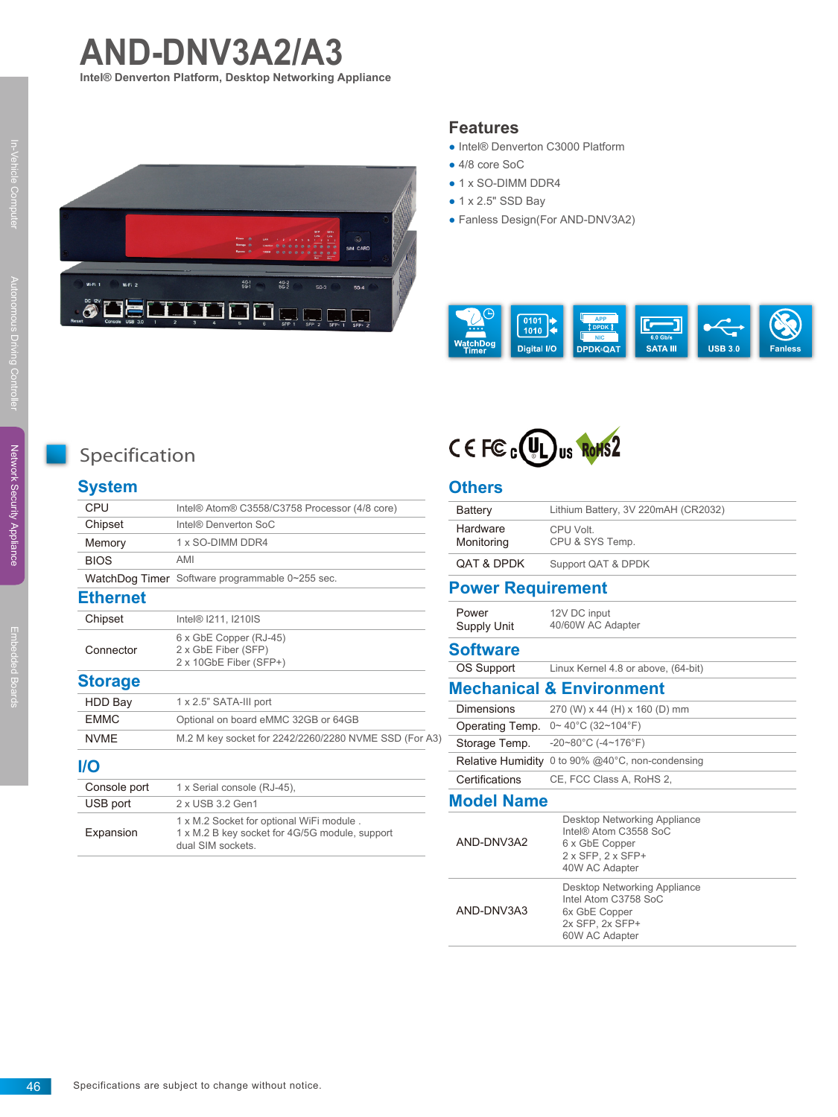



#### **Features**

- Intel® Denverton C3000 Platform
- 4/8 core SoC
- 1 x SO-DIMM DDR4
- 1 x 2.5" SSD Bay
- Fanless Design(For AND-DNV3A2)





# **System**

| CPU             | Intel® Atom® C3558/C3758 Processor (4/8 core)                                                                  |  |
|-----------------|----------------------------------------------------------------------------------------------------------------|--|
| Chipset         | Intel® Denverton SoC                                                                                           |  |
| Memory          | 1 x SO-DIMM DDR4                                                                                               |  |
| <b>BIOS</b>     | AMI                                                                                                            |  |
|                 | WatchDog Timer Software programmable 0~255 sec.                                                                |  |
| <b>Ethernet</b> |                                                                                                                |  |
| Chipset         | Intel <sup>®</sup> I211, I210IS                                                                                |  |
| Connector       | 6 x GbE Copper (RJ-45)<br>2 x GbE Fiber (SFP)<br>2 x 10GbE Fiber (SFP+)                                        |  |
| <b>Storage</b>  |                                                                                                                |  |
| HDD Bay         | 1 x 2.5" SATA-III port                                                                                         |  |
| <b>FMMC</b>     | Optional on board eMMC 32GB or 64GB                                                                            |  |
| <b>NVMF</b>     | M.2 M key socket for 2242/2260/2280 NVME SSD (For A3)                                                          |  |
| I/O             |                                                                                                                |  |
| Console port    | 1 x Serial console (RJ-45),                                                                                    |  |
| USB port        | 2 x USB 3.2 Gen1                                                                                               |  |
| Expansion       | 1 x M.2 Socket for optional WiFi module.<br>1 x M.2 B key socket for 4G/5G module, support<br>dual SIM sockets |  |



### **Others**

| Battery                             | Lithium Battery, 3V 220mAH (CR2032)                                                                                          |  |  |
|-------------------------------------|------------------------------------------------------------------------------------------------------------------------------|--|--|
| Hardware<br>Monitoring              | CPU Volt.<br>CPU & SYS Temp.                                                                                                 |  |  |
| <b>QAT &amp; DPDK</b>               | Support QAT & DPDK                                                                                                           |  |  |
| <b>Power Requirement</b>            |                                                                                                                              |  |  |
| Power<br>Supply Unit                | 12V DC input<br>40/60W AC Adapter                                                                                            |  |  |
| <b>Software</b>                     |                                                                                                                              |  |  |
| <b>OS Support</b>                   | Linux Kernel 4.8 or above, (64-bit)                                                                                          |  |  |
| <b>Mechanical &amp; Environment</b> |                                                                                                                              |  |  |
| <b>Dimensions</b>                   | 270 (W) x 44 (H) x 160 (D) mm                                                                                                |  |  |
| Operating Temp.                     | $0 \sim 40^{\circ}$ C (32~104°F)                                                                                             |  |  |
| Storage Temp.                       | $-20 \sim 80^{\circ}$ C ( $-4 \sim 176^{\circ}$ F)                                                                           |  |  |
|                                     | Relative Humidity 0 to 90% @40°C, non-condensing                                                                             |  |  |
| Certifications                      | CE, FCC Class A, RoHS 2,                                                                                                     |  |  |
| <b>Model Name</b>                   |                                                                                                                              |  |  |
| AND-DNV3A2                          | Desktop Networking Appliance<br>Intel® Atom C3558 SoC<br>6 x GbE Copper<br>$2 \times$ SFP. $2 \times$ SFP+<br>40W AC Adapter |  |  |
| AND-DNV3A3                          | Desktop Networking Appliance<br>Intel Atom C3758 SoC<br>6x GbE Copper<br>2x SFP, 2x SFP+<br>60W AC Adapter                   |  |  |